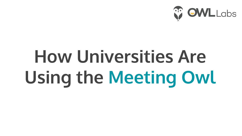

# **How Universities Are Using the Meeting Owl**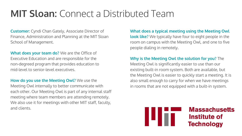### **MIT Sloan:** Connect a Distributed Team

**Customer:** Cyndi Chan Gately, Associate Director of Finance, Administration and Planning at the MIT Sloan School of Management.

**What does your team do?** We are the Office of Executive Education and are responsible for the non-degreed program that provides education to mid-level to senior-level executives.

**How do you use the Meeting Owl?** We use the Meeting Owl internally to better communicate with each other. Our Meeting Owl is part of any internal staff meeting where team members are attending remotely. We also use it for meetings with other MIT staff, faculty, and clients.

**What does a typical meeting using the Meeting Owl look like?** We typically have four to eight people in the room on campus with the Meeting Owl, and one to five people dialing in remotely.

**Why is the Meeting Owl the solution for you?** The

Meeting Owl is significantly easier to use than our existing built-in room system. Both are available, but the Meeting Owl is easier to quickly start a meeting. It is also small enough to carry for when we have meetings in rooms that are not equipped with a built-in system.



**Massachusetts** Institute of **Technology**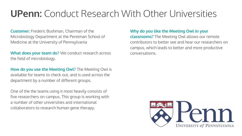### **UPenn:** Conduct Research With Other Universities

**Customer:** Frederic Bushman, Chairman of the Microbiology Department at the Perelman School of Medicine at the University of Pennsylvania

**What does your team do?** We conduct research across the field of microbiology.

**How do you use the Meeting Owl?** The Meeting Owl is available for teams to check out, and is used across the department by a number of different groups.

One of the the teams using it most heavily consists of five researchers on campus. This group is working with a number of other universities and international collaborators to research human gene therapy.

#### **Why do you like the Meeting Owl in your**

**classrooms?** The Meeting Owl allows our remote contributors to better see and hear our researchers on campus, which leads to better and more productive conversations.

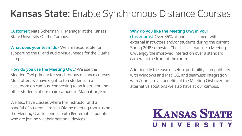### **Kansas State:** Enable Synchronous Distance Courses

**Customer:** Nate Scherman, IT Manager at the Kansas State University Olathe Campus.

**What does your team do?** We are responsible for supporting the IT and audio visual needs for the Olathe campus.

**How do you use the Meeting Owl?** We use the

Meeting Owl primary for synchronous distance courses. Most often, we have eight to ten students in a classroom on campus, connecting to an instructor and other students at our main campus in Manhattan, KS.

We also have classes where the instructor and a handful of students are in a Olathe meeting room using the Meeting Owl to connect with 15+ remote students who are joining via their personal devices.

#### **Why do you like the Meeting Owl in your**

**classrooms?** Over 85% of our classes meet with external instructors and/or students during the current Spring 2018 semester. The classes that use a Meeting Owl enjoy the improved interaction over a standard camera at the front of the room.

Additionally the ease of setup, portability, compatibility with Windows and Mac OS, and seamless integration with Zoom are all benefits of the Meeting Owl over the alternative solutions we also have at our campus.

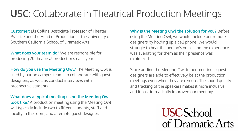### **USC:** Collaborate in Theatrical Production Meetings

**Customer:** Els Collins, Associate Professor of Theater Practice and the Head of Production at the University of Southern California School of Dramatic Arts

**What does your team do?** We are responsible for producing 20 theatrical productions each year.

**How do you use the Meeting Owl?** The Meeting Owl is used by our on campus teams to collaborate with guest designers, as well as conduct interviews with prospective students.

**What does a typical meeting using the Meeting Owl** 

**look like?** A production meeting using the Meeting Owl will typically include two to fifteen students, staff and faculty in the room, and a remote guest designer.

#### **Why is the Meeting Owl the solution for you?** Before

using the Meeting Owl, we would include our remote designers by holding up a cell phone. We would struggle to hear the person's voice, and the experience was alienating for them as their presence was minimized.

Since adding the Meeting Owl to our meetings, guest designers are able to effectively be at the production meetings even when they are remote. The sound quality and tracking of the speakers makes it more inclusive and it has dramatically improved our meetings.

> **USCSchool** of Dramatic Arts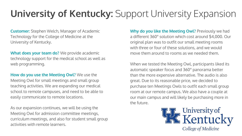# **University of Kentucky:** Support University Expansion

**Customer:** Stephen Welch, Manager of Academic Technology for the College of Medicine at the University of Kentucky.

**What does your team do?** We provide academic technology support for the medical school as well as web programming.

**How do you use the Meeting Owl?** We use the Meeting Owl for small meetings and small group teaching activities. We are expanding our medical school to remote campuses, and need to be able to easily communicate to remote locations.

As our expansion continues, we will be using the Meeting Owl for admission committee meetings, curriculum meetings, and also for student small group activities with remote learners.

**Why do you like the Meeting Owl?** Previously we had a different 360° solution which cost around \$4,000. Our original plan was to outfit our small meeting rooms with three or four of these solutions, and we would move them around to rooms as we needed them.

When we tested the Meeting Owl, participants liked its automatic speaker focus and 360° panorama better than the more expensive alternative. The audio is also great. Due to its reasonable price, we decided to purchase ten Meetings Owls to outfit each small group room at our remote campus. We also have a couple at our main campus and will likely be purchasing more in the future.

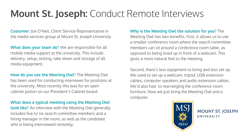## **Mount St. Joseph:** Conduct Remote Interviews

**Customer:** Joe O'Neil, Client Service Representative in the media services group at Mount St. Joseph University

**What does your team do?** We are responsible for all mobile media support at the university. This include delivery, setup, testing, take down and storage of all media equipment.

**How do you use the Meeting Owl?** The Meeting Owl has been used for conducting interviews for positions at the university. Most recently this was for an open cabinet potion on our President's Cabinet board.

**What does a typical meeting using the Meeting Owl** 

**look like?** An interview with the Meeting Owl generally includes five to six search committee members and a hiring manager in the room, as well as the candidate who is being interviewed remotely.

#### **Why is the Meeting Owl the solution for you?** The

Meeting Owl has two benefits. First, it allows us to use a smaller conference room where the search committee members can sit around a conference room table, as opposed to being lined up in front of a webcam. This gives a more natural feel to the meeting.

Second, there's less equipment to bring and less set up. We used to set up a webcam, tripod, USB extension cables, computer speakers and audio extension cables. We'd also had to rearranging the conference room furniture. Now we just bring the Meeting Owl and a computer.



**MOUNT ST. JOSEPH** UNIVERSITY